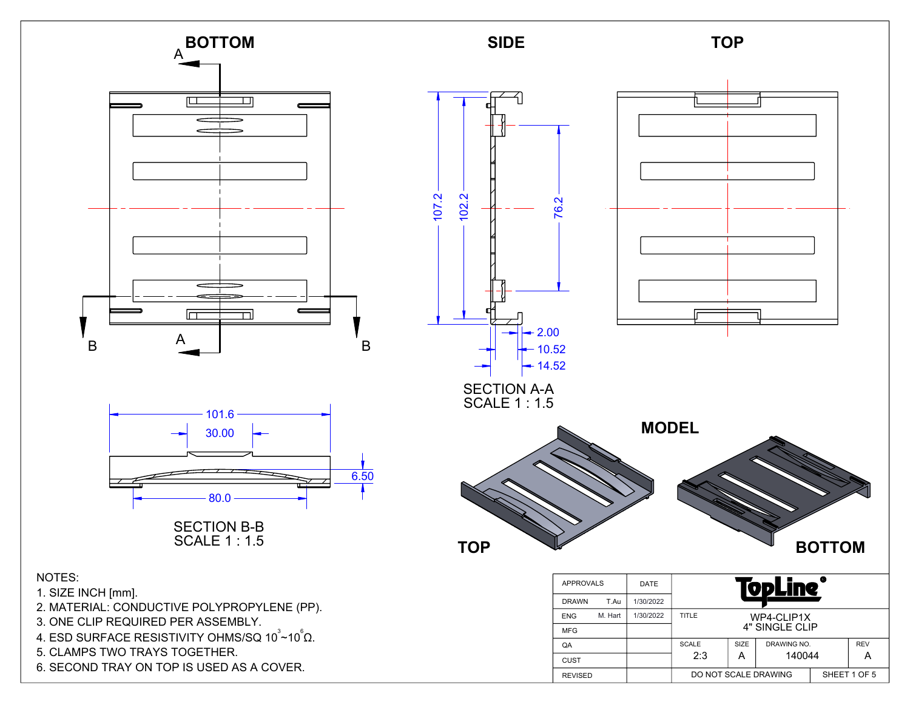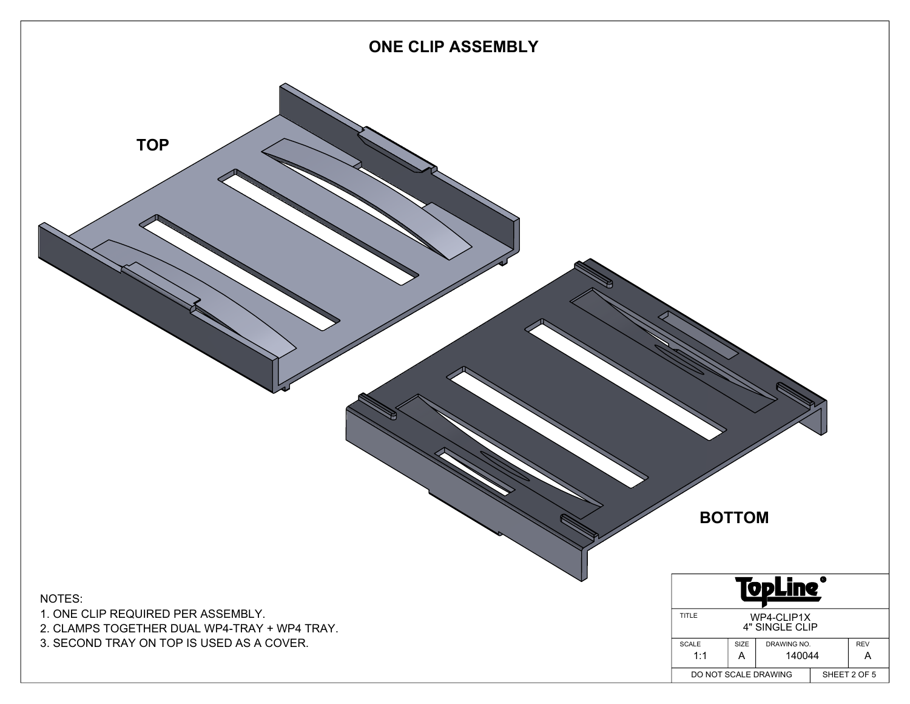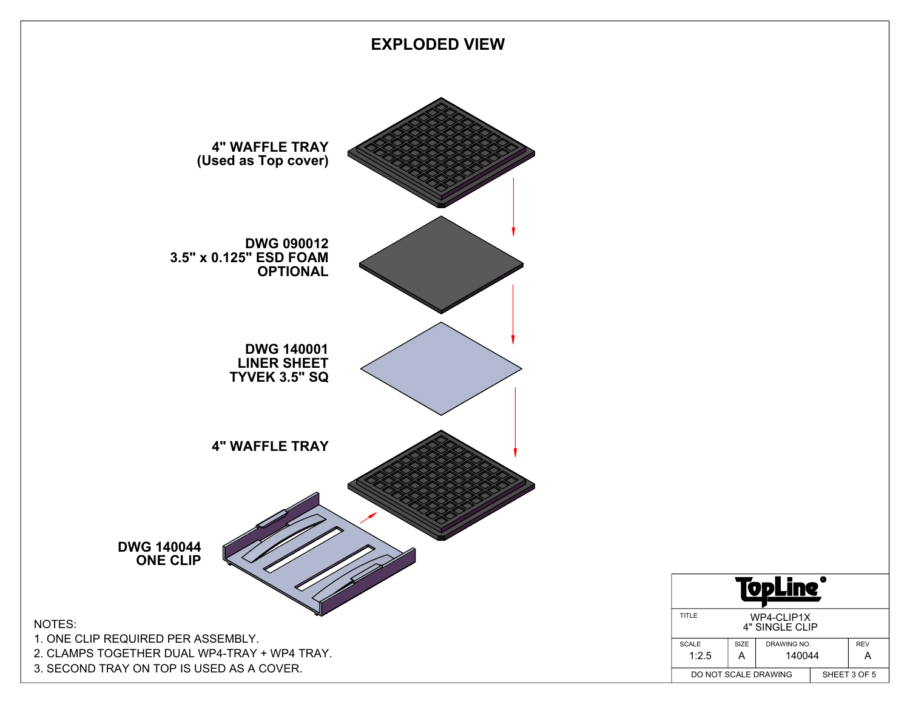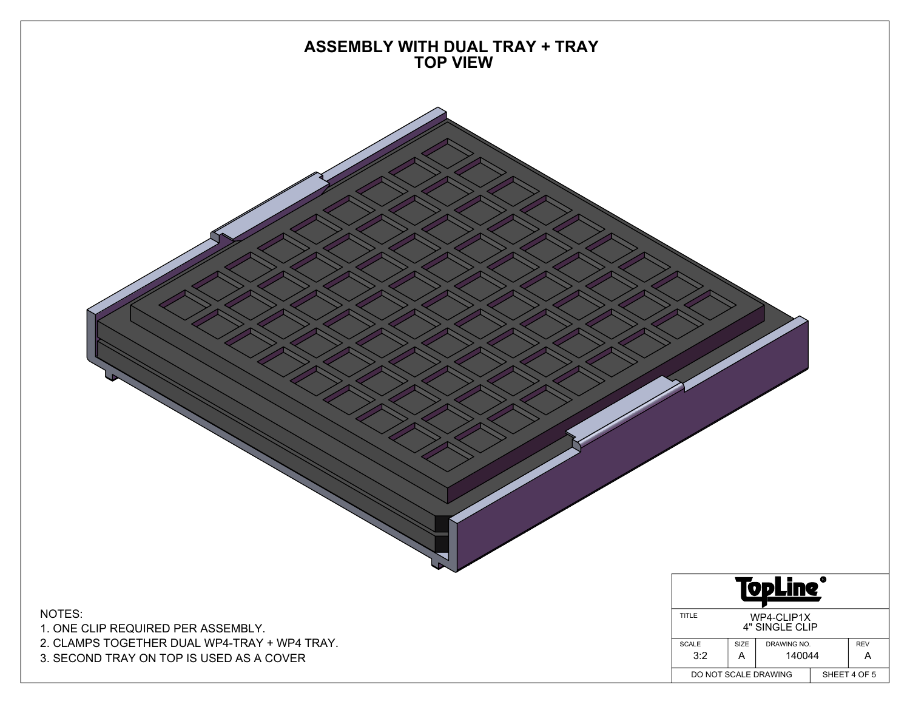